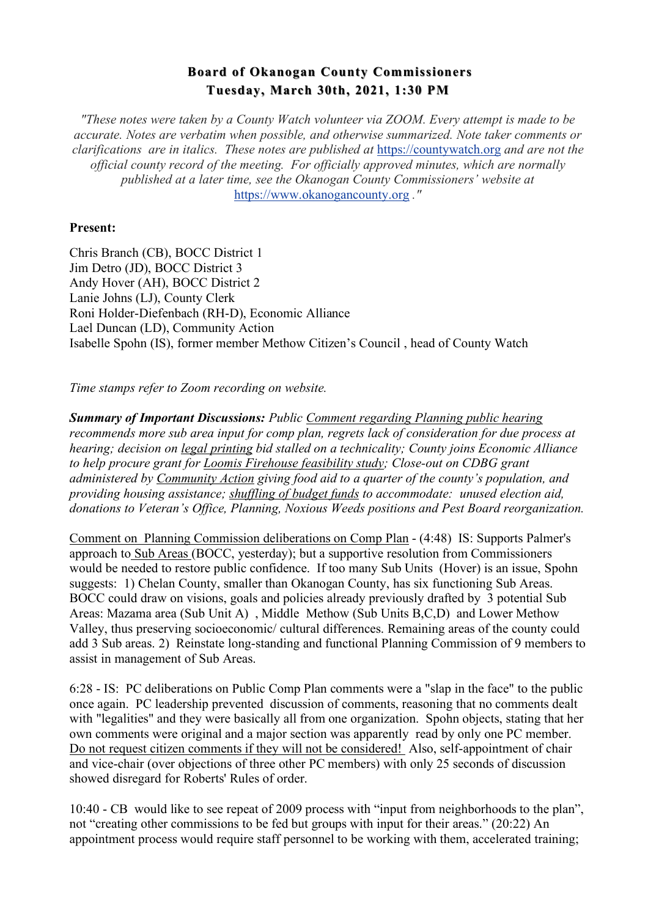## **Board of Okanogan County Commissioners Board of Okanogan County Commissioners Tuesday, March 30th, 2021, 1:30 PM**

*"These notes were taken by a County Watch volunteer via ZOOM. Every attempt is made to be accurate. Notes are verbatim when possible, and otherwise summarized. Note taker comments or clarifications are in italics. These notes are published at* https://countywatch.org *and are not the official county record of the meeting. For officially approved minutes, which are normally published at a later time, see the Okanogan County Commissioners' website at*  https://www.okanogancounty.org *."*

## **Present:**

Chris Branch (CB), BOCC District 1 Jim Detro (JD), BOCC District 3 Andy Hover (AH), BOCC District 2 Lanie Johns (LJ), County Clerk Roni Holder-Diefenbach (RH-D), Economic Alliance Lael Duncan (LD), Community Action Isabelle Spohn (IS), former member Methow Citizen's Council , head of County Watch

*Time stamps refer to Zoom recording on website.* 

*Summary of Important Discussions: Public Comment regarding Planning public hearing recommends more sub area input for comp plan, regrets lack of consideration for due process at hearing; decision on legal printing bid stalled on a technicality; County joins Economic Alliance to help procure grant for Loomis Firehouse feasibility study; Close-out on CDBG grant administered by Community Action giving food aid to a quarter of the county's population, and providing housing assistance; shuffling of budget funds to accommodate: unused election aid, donations to Veteran's Office, Planning, Noxious Weeds positions and Pest Board reorganization.*

Comment on Planning Commission deliberations on Comp Plan - (4:48) IS: Supports Palmer's approach to Sub Areas (BOCC, yesterday); but a supportive resolution from Commissioners would be needed to restore public confidence. If too many Sub Units (Hover) is an issue, Spohn suggests: 1) Chelan County, smaller than Okanogan County, has six functioning Sub Areas. BOCC could draw on visions, goals and policies already previously drafted by 3 potential Sub Areas: Mazama area (Sub Unit A) , Middle Methow (Sub Units B,C,D) and Lower Methow Valley, thus preserving socioeconomic/ cultural differences. Remaining areas of the county could add 3 Sub areas. 2) Reinstate long-standing and functional Planning Commission of 9 members to assist in management of Sub Areas.

6:28 - IS: PC deliberations on Public Comp Plan comments were a "slap in the face" to the public once again. PC leadership prevented discussion of comments, reasoning that no comments dealt with "legalities" and they were basically all from one organization. Spohn objects, stating that her own comments were original and a major section was apparently read by only one PC member. Do not request citizen comments if they will not be considered! Also, self-appointment of chair and vice-chair (over objections of three other PC members) with only 25 seconds of discussion showed disregard for Roberts' Rules of order.

10:40 - CB would like to see repeat of 2009 process with "input from neighborhoods to the plan", not "creating other commissions to be fed but groups with input for their areas." (20:22) An appointment process would require staff personnel to be working with them, accelerated training;